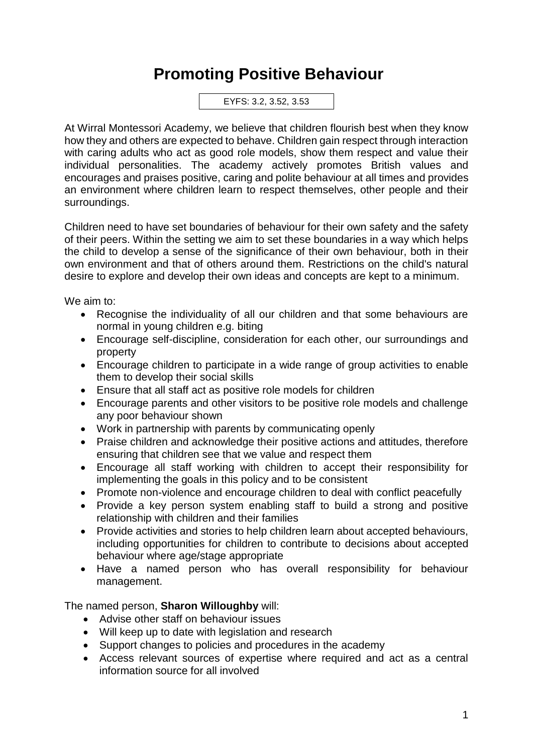## **Promoting Positive Behaviour**

EYFS: 3.2, 3.52, 3.53

At Wirral Montessori Academy, we believe that children flourish best when they know how they and others are expected to behave. Children gain respect through interaction with caring adults who act as good role models, show them respect and value their individual personalities. The academy actively promotes British values and encourages and praises positive, caring and polite behaviour at all times and provides an environment where children learn to respect themselves, other people and their surroundings.

Children need to have set boundaries of behaviour for their own safety and the safety of their peers. Within the setting we aim to set these boundaries in a way which helps the child to develop a sense of the significance of their own behaviour, both in their own environment and that of others around them. Restrictions on the child's natural desire to explore and develop their own ideas and concepts are kept to a minimum.

We aim to:

- Recognise the individuality of all our children and that some behaviours are normal in young children e.g. biting
- Encourage self-discipline, consideration for each other, our surroundings and property
- Encourage children to participate in a wide range of group activities to enable them to develop their social skills
- Ensure that all staff act as positive role models for children
- Encourage parents and other visitors to be positive role models and challenge any poor behaviour shown
- Work in partnership with parents by communicating openly
- Praise children and acknowledge their positive actions and attitudes, therefore ensuring that children see that we value and respect them
- Encourage all staff working with children to accept their responsibility for implementing the goals in this policy and to be consistent
- Promote non-violence and encourage children to deal with conflict peacefully
- Provide a key person system enabling staff to build a strong and positive relationship with children and their families
- Provide activities and stories to help children learn about accepted behaviours, including opportunities for children to contribute to decisions about accepted behaviour where age/stage appropriate
- Have a named person who has overall responsibility for behaviour management.

The named person, **Sharon Willoughby** will:

- Advise other staff on behaviour issues
- Will keep up to date with legislation and research
- Support changes to policies and procedures in the academy
- Access relevant sources of expertise where required and act as a central information source for all involved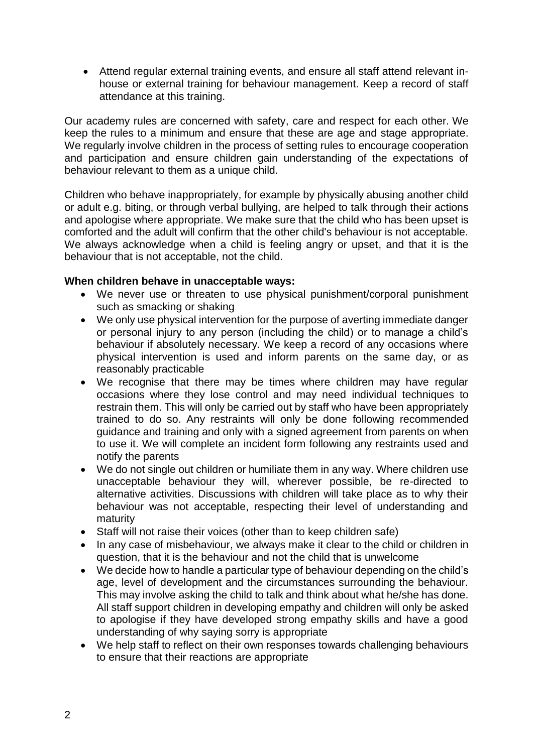• Attend regular external training events, and ensure all staff attend relevant inhouse or external training for behaviour management. Keep a record of staff attendance at this training.

Our academy rules are concerned with safety, care and respect for each other. We keep the rules to a minimum and ensure that these are age and stage appropriate. We regularly involve children in the process of setting rules to encourage cooperation and participation and ensure children gain understanding of the expectations of behaviour relevant to them as a unique child.

Children who behave inappropriately, for example by physically abusing another child or adult e.g. biting, or through verbal bullying, are helped to talk through their actions and apologise where appropriate. We make sure that the child who has been upset is comforted and the adult will confirm that the other child's behaviour is not acceptable. We always acknowledge when a child is feeling angry or upset, and that it is the behaviour that is not acceptable, not the child.

## **When children behave in unacceptable ways:**

- We never use or threaten to use physical punishment/corporal punishment such as smacking or shaking
- We only use physical intervention for the purpose of averting immediate danger or personal injury to any person (including the child) or to manage a child's behaviour if absolutely necessary. We keep a record of any occasions where physical intervention is used and inform parents on the same day, or as reasonably practicable
- We recognise that there may be times where children may have regular occasions where they lose control and may need individual techniques to restrain them. This will only be carried out by staff who have been appropriately trained to do so. Any restraints will only be done following recommended guidance and training and only with a signed agreement from parents on when to use it. We will complete an incident form following any restraints used and notify the parents
- We do not single out children or humiliate them in any way. Where children use unacceptable behaviour they will, wherever possible, be re-directed to alternative activities. Discussions with children will take place as to why their behaviour was not acceptable, respecting their level of understanding and maturity
- Staff will not raise their voices (other than to keep children safe)
- In any case of misbehaviour, we always make it clear to the child or children in question, that it is the behaviour and not the child that is unwelcome
- We decide how to handle a particular type of behaviour depending on the child's age, level of development and the circumstances surrounding the behaviour. This may involve asking the child to talk and think about what he/she has done. All staff support children in developing empathy and children will only be asked to apologise if they have developed strong empathy skills and have a good understanding of why saying sorry is appropriate
- We help staff to reflect on their own responses towards challenging behaviours to ensure that their reactions are appropriate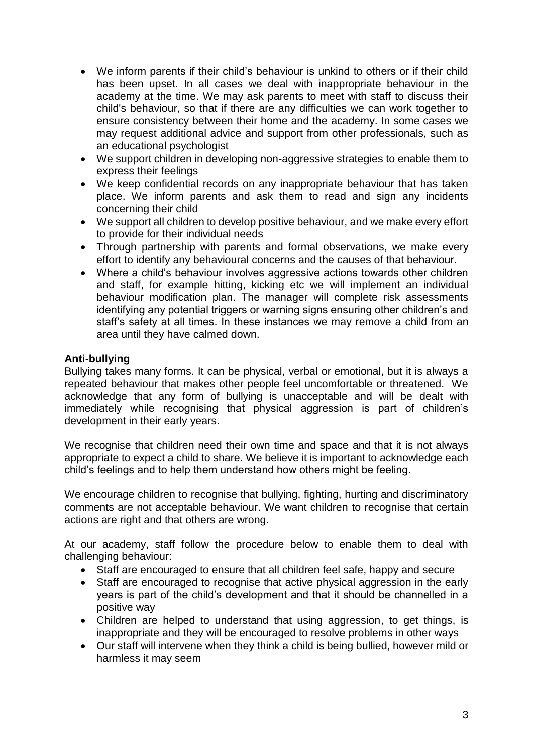- We inform parents if their child's behaviour is unkind to others or if their child has been upset. In all cases we deal with inappropriate behaviour in the academy at the time. We may ask parents to meet with staff to discuss their child's behaviour, so that if there are any difficulties we can work together to ensure consistency between their home and the academy. In some cases we may request additional advice and support from other professionals, such as an educational psychologist
- We support children in developing non-aggressive strategies to enable them to express their feelings
- We keep confidential records on any inappropriate behaviour that has taken place. We inform parents and ask them to read and sign any incidents concerning their child
- We support all children to develop positive behaviour, and we make every effort to provide for their individual needs
- Through partnership with parents and formal observations, we make every effort to identify any behavioural concerns and the causes of that behaviour.
- Where a child's behaviour involves aggressive actions towards other children and staff, for example hitting, kicking etc we will implement an individual behaviour modification plan. The manager will complete risk assessments identifying any potential triggers or warning signs ensuring other children's and staff's safety at all times. In these instances we may remove a child from an area until they have calmed down.

## **Anti-bullying**

Bullying takes many forms. It can be physical, verbal or emotional, but it is always a repeated behaviour that makes other people feel uncomfortable or threatened. We acknowledge that any form of bullying is unacceptable and will be dealt with immediately while recognising that physical aggression is part of children's development in their early years.

We recognise that children need their own time and space and that it is not always appropriate to expect a child to share. We believe it is important to acknowledge each child's feelings and to help them understand how others might be feeling.

We encourage children to recognise that bullying, fighting, hurting and discriminatory comments are not acceptable behaviour. We want children to recognise that certain actions are right and that others are wrong.

At our academy, staff follow the procedure below to enable them to deal with challenging behaviour:

- Staff are encouraged to ensure that all children feel safe, happy and secure
- Staff are encouraged to recognise that active physical aggression in the early years is part of the child's development and that it should be channelled in a positive way
- Children are helped to understand that using aggression, to get things, is inappropriate and they will be encouraged to resolve problems in other ways
- Our staff will intervene when they think a child is being bullied, however mild or harmless it may seem